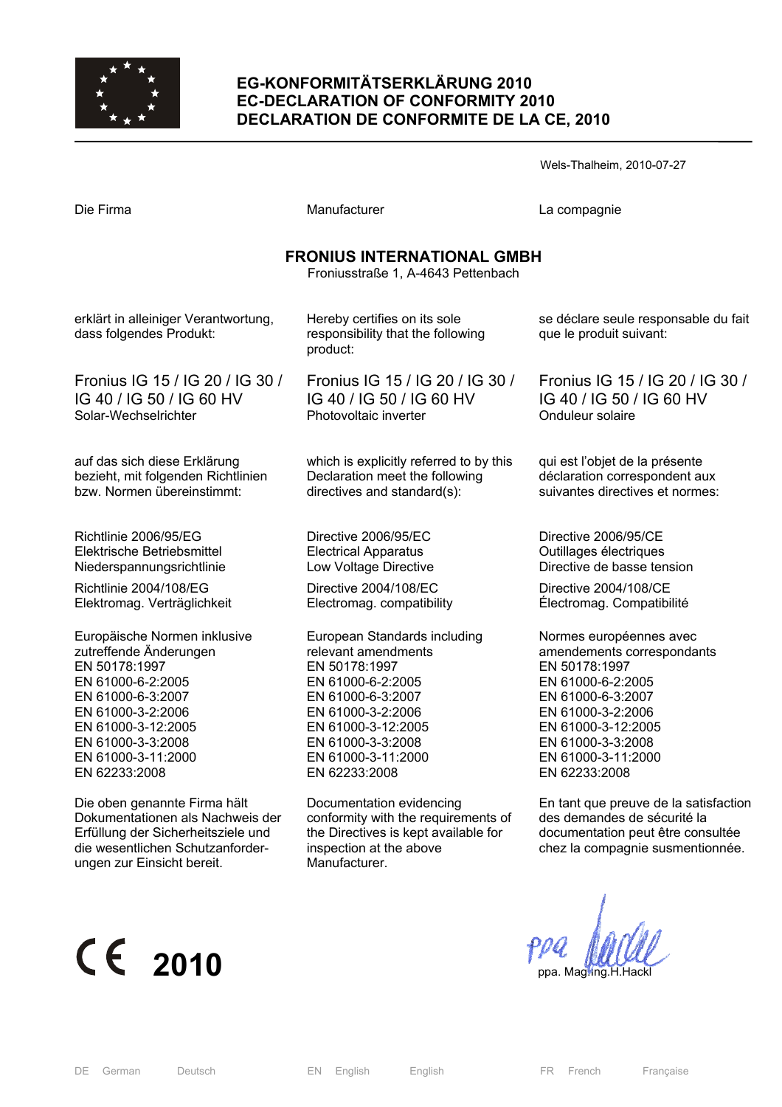

### **EG-KONFORMITÄTSERKLÄRUNG 2010 EC-DECLARATION OF CONFORMITY 2010 DECLARATION DE CONFORMITE DE LA CE, 2010**

Wels-Thalheim, 2010-07-27 Die Firma and Compagnie Manufacturer Company La compagnie **FRONIUS INTERNATIONAL GMBH**  Froniusstraße 1, A-4643 Pettenbach erklärt in alleiniger Verantwortung, dass folgendes Produkt: Fronius IG 15 / IG 20 / IG 30 / IG 40 / IG 50 / IG 60 HV Solar-Wechselrichter auf das sich diese Erklärung bezieht, mit folgenden Richtlinien bzw. Normen übereinstimmt: Richtlinie 2006/95/EG Elektrische Betriebsmittel Niederspannungsrichtlinie Richtlinie 2004/108/EG Elektromag. Verträglichkeit Europäische Normen inklusive zutreffende Änderungen EN 50178:1997 EN 61000-6-2:2005 EN 61000-6-3:2007 EN 61000-3-2:2006 EN 61000-3-12:2005 EN 61000-3-3:2008 EN 61000-3-11:2000 EN 62233:2008 Die oben genannte Firma hält Dokumentationen als Nachweis der Hereby certifies on its sole responsibility that the following product: Fronius IG 15 / IG 20 / IG 30 / IG 40 / IG 50 / IG 60 HV Photovoltaic inverter which is explicitly referred to by this Declaration meet the following directives and standard(s): Directive 2006/95/EC Electrical Apparatus Low Voltage Directive Directive 2004/108/EC Electromag. compatibility European Standards including relevant amendments EN 50178:1997 EN 61000-6-2:2005 EN 61000-6-3:2007 EN 61000-3-2:2006 EN 61000-3-12:2005 EN 61000-3-3:2008 EN 61000-3-11:2000 EN 62233:2008 Documentation evidencing conformity with the requirements of se déclare seule responsable du fait que le produit suivant: Fronius IG 15 / IG 20 / IG 30 / IG 40 / IG 50 / IG 60 HV Onduleur solaire qui est l'objet de la présente déclaration correspondent aux suivantes directives et normes: Directive 2006/95/CE Outillages électriques Directive de basse tension Directive 2004/108/CE Électromag. Compatibilité Normes européennes avec amendements correspondants EN 50178:1997 EN 61000-6-2:2005 EN 61000-6-3:2007 EN 61000-3-2:2006 EN 61000-3-12:2005 EN 61000-3-3:2008 EN 61000-3-11:2000 EN 62233:2008 En tant que preuve de la satisfaction des demandes de sécurité la

 $\epsilon$  2010 *ppa. Magling.H.H.* 

ungen zur Einsicht bereit.

Erfüllung der Sicherheitsziele und die wesentlichen Schutzanforder-

documentation peut être consultée chez la compagnie susmentionnée.

the Directives is kept available for

inspection at the above

Manufacturer.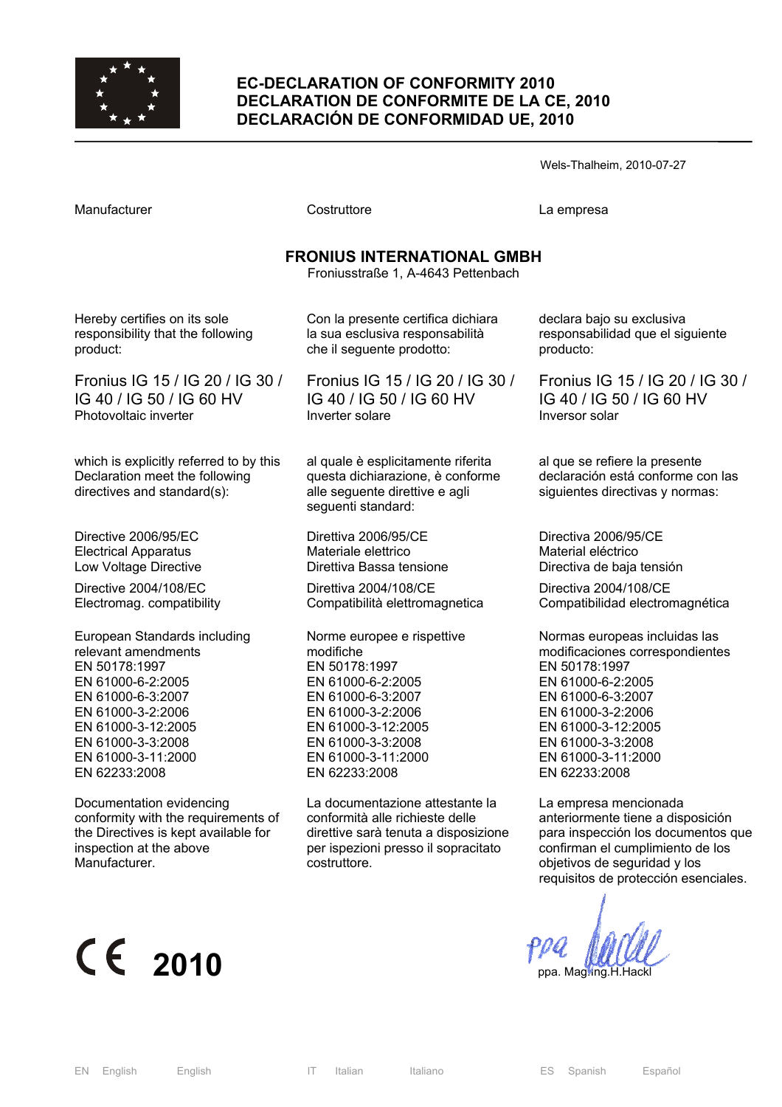

### **EC-DECLARATION OF CONFORMITY 2010 DECLARATION DE CONFORMITE DE LA CE, 2010 DECLARACIÓN DE CONFORMIDAD UE, 2010**

| Wels-Thalheim, 2010-07-27 |  |
|---------------------------|--|
|---------------------------|--|

| Costruttore                                                                                                                                                        | La empresa                                                                                                                                                                                                        |  |  |  |  |
|--------------------------------------------------------------------------------------------------------------------------------------------------------------------|-------------------------------------------------------------------------------------------------------------------------------------------------------------------------------------------------------------------|--|--|--|--|
| <b>FRONIUS INTERNATIONAL GMBH</b><br>Froniusstraße 1, A-4643 Pettenbach                                                                                            |                                                                                                                                                                                                                   |  |  |  |  |
| Con la presente certifica dichiara<br>la sua esclusiva responsabilità<br>che il seguente prodotto:                                                                 | declara bajo su exclusiva<br>responsabilidad que el siguiente<br>producto:                                                                                                                                        |  |  |  |  |
| Fronius IG 15 / IG 20 / IG 30 /<br>IG 40 / IG 50 / IG 60 HV<br>Inverter solare                                                                                     | Fronius IG 15 / IG 20 / IG 30<br>IG 40 / IG 50 / IG 60 HV<br>Inversor solar                                                                                                                                       |  |  |  |  |
| al quale è esplicitamente riferita<br>questa dichiarazione, è conforme<br>alle seguente direttive e agli<br>seguenti standard:                                     | al que se refiere la presente<br>declaración está conforme con las<br>siguientes directivas y normas:                                                                                                             |  |  |  |  |
| Direttiva 2006/95/CE<br>Materiale elettrico<br>Direttiva Bassa tensione                                                                                            | Directiva 2006/95/CE<br>Material eléctrico<br>Directiva de baja tensión                                                                                                                                           |  |  |  |  |
| Direttiva 2004/108/CE<br>Compatibilità elettromagnetica                                                                                                            | Directiva 2004/108/CE<br>Compatibilidad electromagnética                                                                                                                                                          |  |  |  |  |
| Norme europee e rispettive<br>modifiche<br>EN 50178:1997<br>EN 61000-6-2:2005<br>EN 61000-6-3:2007<br>EN 61000-3-2:2006<br>EN 61000-3-12:2005<br>EN 61000-3-3:2008 | Normas europeas incluidas las<br>modificaciones correspondientes<br>EN 50178:1997<br>EN 61000-6-2:2005<br>EN 61000-6-3:2007<br>EN 61000-3-2:2006<br>EN 61000-3-12:2005<br>EN 61000-3-3:2008<br>EN 61000-3-11:2000 |  |  |  |  |
|                                                                                                                                                                    | EN 61000-3-11:2000                                                                                                                                                                                                |  |  |  |  |

Documentation evidencing conformity with the requirements of the Directives is kept available for inspection at the above Manufacturer.

La documentazione attestante la conformità alle richieste delle direttive sarà tenuta a disposizione per ispezioni presso il sopracitato costruttore.

EN 62233:2008

EN 61000-3-11:2000 EN 62233:2008

La empresa mencionada anteriormente tiene a disposición para inspección los documentos que confirman el cumplimiento de los objetivos de seguridad y los requisitos de protección esenciales.

# $\epsilon$  2010  $\epsilon$   $\epsilon$  2010

EN 62233:2008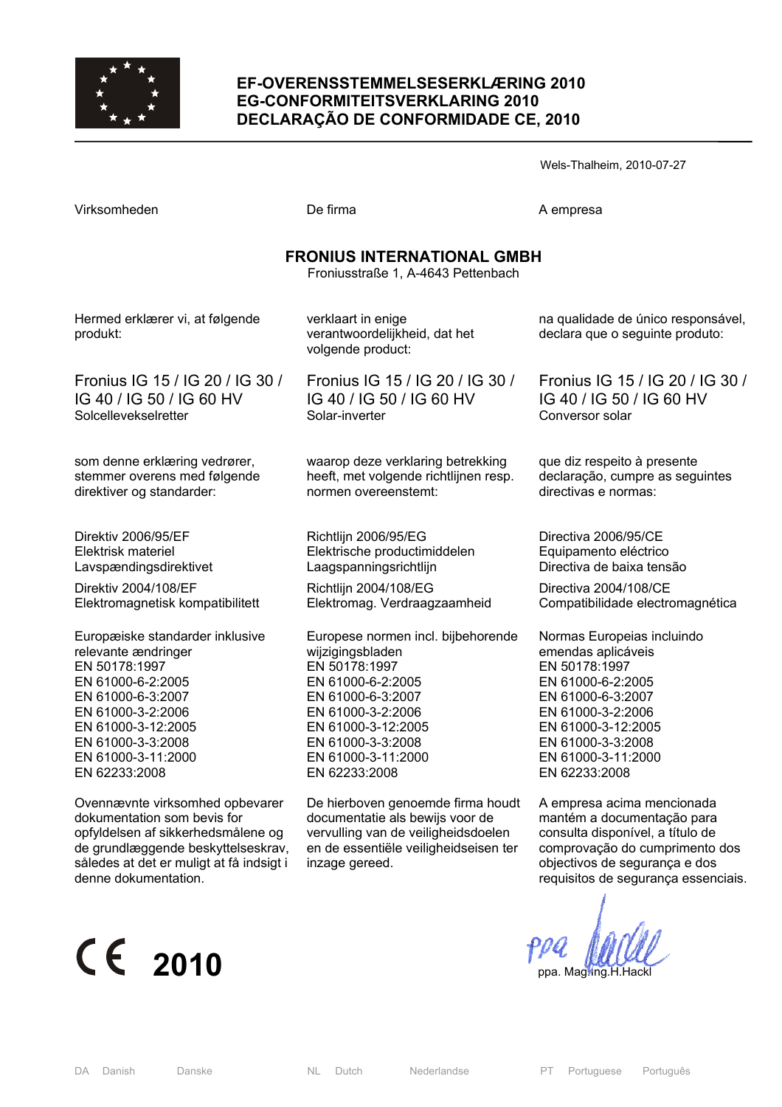

#### **EF-OVERENSSTEMMELSESERKLÆRING 2010 EG-CONFORMITEITSVERKLARING 2010 DECLARAÇÃO DE CONFORMIDADE CE, 2010**

Virksomheden **De firma** De firma A empresa **FRONIUS INTERNATIONAL GMBH**  Froniusstraße 1, A-4643 Pettenbach Hermed erklærer vi, at følgende Direktiv 2004/108/EF verklaart in enige verantwoordelijkheid, dat het volgende product: Fronius IG 15 / IG 20 / IG 30 / IG 40 / IG 50 / IG 60 HV Solar-inverter waarop deze verklaring betrekking heeft, met volgende richtlijnen resp. normen overeenstemt: Richtlijn 2006/95/EG Elektrische productimiddelen Laagspanningsrichtlijn Richtlijn 2004/108/EG Elektromag. Verdraagzaamheid Europese normen incl. bijbehorende wijzigingsbladen EN 50178:1997 EN 61000-6-2:2005 EN 61000-6-3:2007 EN 61000-3-2:2006 EN 61000-3-12:2005 EN 61000-3-3:2008 EN 61000-3-11:2000 EN 62233:2008 De hierboven genoemde firma houdt documentatie als bewijs voor de vervulling van de veiligheidsdoelen na qualidade de único responsável, declara que o seguinte produto: Fronius IG 15 / IG 20 / IG 30 / IG 40 / IG 50 / IG 60 HV Conversor solar que diz respeito à presente declaração, cumpre as seguintes directivas e normas: Directiva 2006/95/CE Equipamento eléctrico Directiva de baixa tensão Directiva 2004/108/CE Compatibilidade electromagnética Normas Europeias incluindo emendas aplicáveis EN 50178:1997 EN 61000-6-2:2005 EN 61000-6-3:2007 EN 61000-3-2:2006 EN 61000-3-12:2005 EN 61000-3-3:2008 EN 61000-3-11:2000 EN 62233:2008 A empresa acima mencionada mantém a documentação para

# $\epsilon$  2010  $\epsilon$   $\epsilon$  2010

inzage gereed.

en de essentiële veiligheidseisen ter

produkt:

Fronius IG 15 / IG 20 / IG 30 / IG 40 / IG 50 / IG 60 HV Solcellevekselretter

som denne erklæring vedrører, stemmer overens med følgende direktiver og standarder:

Direktiv 2006/95/EF Elektrisk materiel Lavspændingsdirektivet

Elektromagnetisk kompatibilitett

Europæiske standarder inklusive relevante ændringer EN 50178:1997 EN 61000-6-2:2005 EN 61000-6-3:2007 EN 61000-3-2:2006 EN 61000-3-12:2005 EN 61000-3-3:2008 EN 61000-3-11:2000 EN 62233:2008

Ovennævnte virksomhed opbevarer dokumentation som bevis for opfyldelsen af sikkerhedsmålene og de grundlæggende beskyttelseskrav, således at det er muligt at få indsigt i denne dokumentation.

consulta disponível, a título de comprovação do cumprimento dos objectivos de segurança e dos requisitos de segurança essenciais.

Wels-Thalheim, 2010-07-27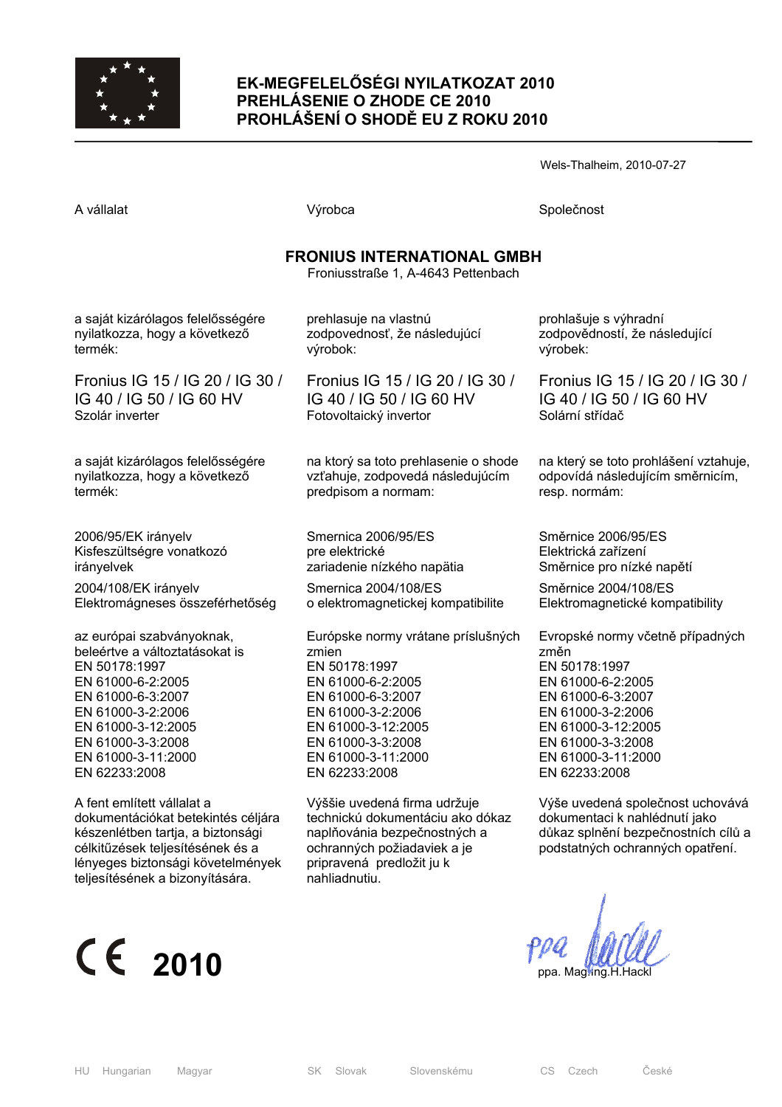

## **EK-MEGFELELŐSÉGI NYILATKOZAT 2010 PREHLÁSENIE O ZHODE CE 2010 PROHLÁŠENÍ O SHODĚ EU Z ROKU 2010**

Wels-Thalheim, 2010-07-27

| A vállalat                                                                                                                                                                     | Výrobca                                                                                                                                                      | Společnost                                                                                                                                   |  |  |
|--------------------------------------------------------------------------------------------------------------------------------------------------------------------------------|--------------------------------------------------------------------------------------------------------------------------------------------------------------|----------------------------------------------------------------------------------------------------------------------------------------------|--|--|
| <b>FRONIUS INTERNATIONAL GMBH</b><br>Froniusstraße 1, A-4643 Pettenbach                                                                                                        |                                                                                                                                                              |                                                                                                                                              |  |  |
| a saját kizárólagos felelősségére                                                                                                                                              | prehlasuje na vlastnú                                                                                                                                        | prohlašuje s výhradní                                                                                                                        |  |  |
| nyilatkozza, hogy a következő                                                                                                                                                  | zodpovednosť, že následujúcí                                                                                                                                 | zodpovědností, že následující                                                                                                                |  |  |
| termék:                                                                                                                                                                        | výrobok:                                                                                                                                                     | výrobek:                                                                                                                                     |  |  |
| Fronius IG 15 / IG 20 / IG 30 /                                                                                                                                                | Fronius IG 15 / IG 20 / IG 30 /                                                                                                                              | Fronius IG 15 / IG 20 / IG 30 /                                                                                                              |  |  |
| IG 40 / IG 50 / IG 60 HV                                                                                                                                                       | IG 40 / IG 50 / IG 60 HV                                                                                                                                     | IG 40 / IG 50 / IG 60 HV                                                                                                                     |  |  |
| Szolár inverter                                                                                                                                                                | Fotovoltaický invertor                                                                                                                                       | Solární střídač                                                                                                                              |  |  |
| a saját kizárólagos felelősségére                                                                                                                                              | na ktorý sa toto prehlasenie o shode                                                                                                                         | na který se toto prohlášení vztahuje,                                                                                                        |  |  |
| nyilatkozza, hogy a következő                                                                                                                                                  | vzťahuje, zodpovedá následujúcím                                                                                                                             | odpovídá následujícím směrnicím,                                                                                                             |  |  |
| termék:                                                                                                                                                                        | predpisom a normam:                                                                                                                                          | resp. normám:                                                                                                                                |  |  |
| 2006/95/EK irányelv                                                                                                                                                            | Smernica 2006/95/ES                                                                                                                                          | Směrnice 2006/95/ES                                                                                                                          |  |  |
| Kisfeszültségre vonatkozó                                                                                                                                                      | pre elektrické                                                                                                                                               | Elektrická zařízení                                                                                                                          |  |  |
| irányelvek                                                                                                                                                                     | zariadenie nízkého napätia                                                                                                                                   | Směrnice pro nízké napětí                                                                                                                    |  |  |
| 2004/108/EK irányelv                                                                                                                                                           | Smernica 2004/108/ES                                                                                                                                         | Směrnice 2004/108/ES                                                                                                                         |  |  |
| Elektromágneses összeférhetőség                                                                                                                                                | o elektromagnetickej kompatibilite                                                                                                                           | Elektromagnetické kompatibility                                                                                                              |  |  |
| az európai szabványoknak,                                                                                                                                                      | Európske normy vrátane príslušných                                                                                                                           | Evropské normy včetně případných                                                                                                             |  |  |
| beleértve a változtatásokat is                                                                                                                                                 | zmien                                                                                                                                                        | změn                                                                                                                                         |  |  |
| EN 50178:1997                                                                                                                                                                  | EN 50178:1997                                                                                                                                                | EN 50178:1997                                                                                                                                |  |  |
| EN 61000-6-2:2005                                                                                                                                                              | EN 61000-6-2:2005                                                                                                                                            | EN 61000-6-2:2005                                                                                                                            |  |  |
| EN 61000-6-3:2007                                                                                                                                                              | EN 61000-6-3:2007                                                                                                                                            | EN 61000-6-3:2007                                                                                                                            |  |  |
| EN 61000-3-2:2006                                                                                                                                                              | EN 61000-3-2:2006                                                                                                                                            | EN 61000-3-2:2006                                                                                                                            |  |  |
| EN 61000-3-12:2005                                                                                                                                                             | EN 61000-3-12:2005                                                                                                                                           | EN 61000-3-12:2005                                                                                                                           |  |  |
| EN 61000-3-3:2008                                                                                                                                                              | EN 61000-3-3:2008                                                                                                                                            | EN 61000-3-3:2008                                                                                                                            |  |  |
| EN 61000-3-11:2000                                                                                                                                                             | EN 61000-3-11:2000                                                                                                                                           | EN 61000-3-11:2000                                                                                                                           |  |  |
| EN 62233:2008                                                                                                                                                                  | EN 62233:2008                                                                                                                                                | EN 62233:2008                                                                                                                                |  |  |
| A fent említett vállalat a<br>dokumentációkat betekintés céljára<br>készenlétben tartja, a biztonsági<br>célkitűzések teljesítésének és a<br>lényeges biztonsági követelmények | Výššie uvedená firma udržuje<br>technickú dokumentáciu ako dókaz<br>naplňovánia bezpečnostných a<br>ochranných požiadaviek a je<br>pripravená predložit ju k | Výše uvedená společnost uchovává<br>dokumentaci k nahlédnutí jako<br>důkaz splnění bezpečnostních cílů a<br>podstatných ochranných opatření. |  |  |



teljesítésének a bizonyítására.

nahliadnutiu.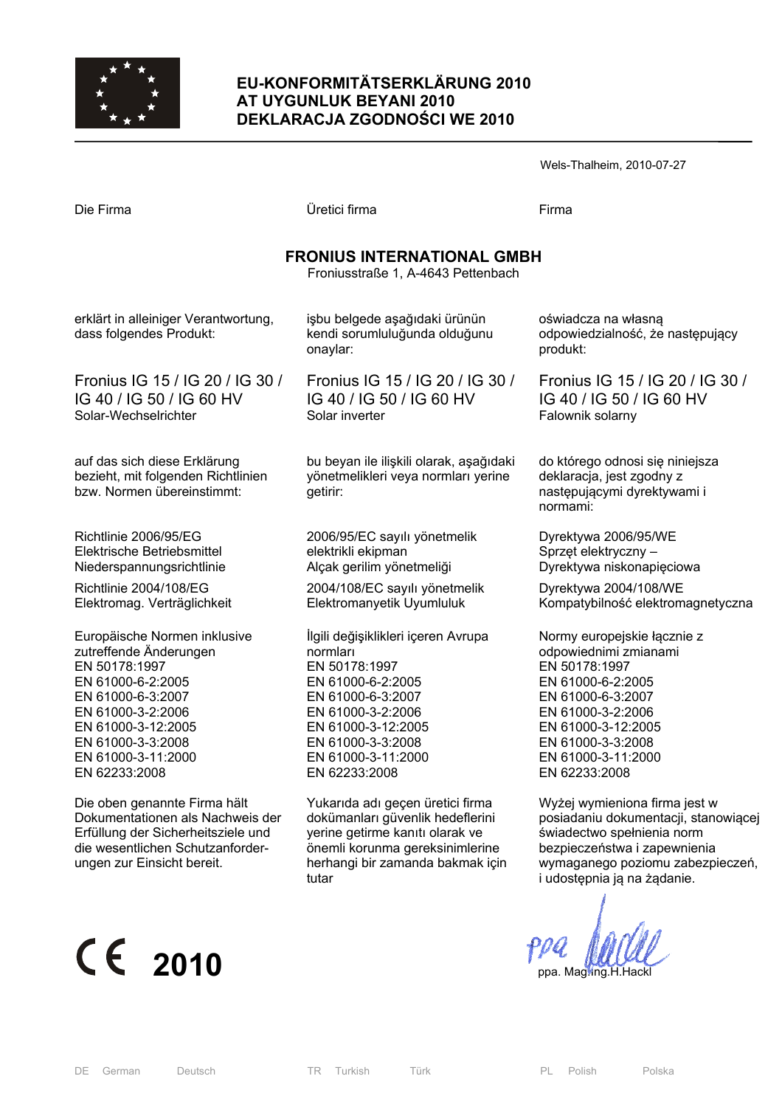

## **EU-KONFORMITÄTSERKLÄRUNG 2010 AT UYGUNLUK BEYANI 2010 DEKLARACJA ZGODNOŚCI WE 2010**

|                                                                                                  |                                                                                            | Wels-Thalheim, 2010-07-27                                                                               |  |  |
|--------------------------------------------------------------------------------------------------|--------------------------------------------------------------------------------------------|---------------------------------------------------------------------------------------------------------|--|--|
| Die Firma                                                                                        | Üretici firma                                                                              | Firma                                                                                                   |  |  |
| <b>FRONIUS INTERNATIONAL GMBH</b><br>Froniusstraße 1, A-4643 Pettenbach                          |                                                                                            |                                                                                                         |  |  |
| erklärt in alleiniger Verantwortung,<br>dass folgendes Produkt:                                  | işbu belgede aşağıdaki ürünün<br>kendi sorumluluğunda olduğunu<br>onaylar:                 | oświadcza na własną<br>odpowiedzialność, że następujący<br>produkt:                                     |  |  |
| Fronius IG 15 / IG 20 / IG 30 /                                                                  | Fronius IG 15 / IG 20 / IG 30 /                                                            | Fronius IG 15 / IG 20 / IG 30 /                                                                         |  |  |
| IG 40 / IG 50 / IG 60 HV                                                                         | IG 40 / IG 50 / IG 60 HV                                                                   | IG 40 / IG 50 / IG 60 HV                                                                                |  |  |
| Solar-Wechselrichter                                                                             | Solar inverter                                                                             | Falownik solarny                                                                                        |  |  |
| auf das sich diese Erklärung<br>bezieht, mit folgenden Richtlinien<br>bzw. Normen übereinstimmt: | bu beyan ile ilişkili olarak, aşağıdaki<br>yönetmelikleri veya normları yerine<br>getirir: | do którego odnosi się niniejsza<br>deklaracja, jest zgodny z<br>następującymi dyrektywami i<br>normami: |  |  |
| Richtlinie 2006/95/EG                                                                            | 2006/95/EC sayılı yönetmelik                                                               | Dyrektywa 2006/95/WE                                                                                    |  |  |
| Elektrische Betriebsmittel                                                                       | elektrikli ekipman                                                                         | Sprzęt elektryczny –                                                                                    |  |  |
| Niederspannungsrichtlinie                                                                        | Alçak gerilim yönetmeliği                                                                  | Dyrektywa niskonapięciowa                                                                               |  |  |
| Richtlinie 2004/108/EG                                                                           | 2004/108/EC sayılı yönetmelik                                                              | Dyrektywa 2004/108/WE                                                                                   |  |  |
| Elektromag. Verträglichkeit                                                                      | Elektromanyetik Uyumluluk                                                                  | Kompatybilność elektromagnetyczna                                                                       |  |  |
| Europäische Normen inklusive                                                                     | İlgili değişiklikleri içeren Avrupa                                                        | Normy europejskie łącznie z                                                                             |  |  |
| zutreffende Änderungen                                                                           | normları                                                                                   | odpowiednimi zmianami                                                                                   |  |  |
| EN 50178:1997                                                                                    | EN 50178:1997                                                                              | EN 50178:1997                                                                                           |  |  |
| EN 61000-6-2:2005                                                                                | EN 61000-6-2:2005                                                                          | EN 61000-6-2:2005                                                                                       |  |  |
| EN 61000-6-3:2007                                                                                | EN 61000-6-3:2007                                                                          | EN 61000-6-3:2007                                                                                       |  |  |
| EN 61000-3-2:2006                                                                                | EN 61000-3-2:2006                                                                          | EN 61000-3-2:2006                                                                                       |  |  |
| EN 61000-3-12:2005                                                                               | EN 61000-3-12:2005                                                                         | EN 61000-3-12:2005                                                                                      |  |  |
| EN 61000-3-3:2008                                                                                | EN 61000-3-3:2008                                                                          | EN 61000-3-3:2008                                                                                       |  |  |
| EN 61000-3-11:2000                                                                               | EN 61000-3-11:2000                                                                         | EN 61000-3-11:2000                                                                                      |  |  |
| EN 62233:2008                                                                                    | EN 62233:2008                                                                              | EN 62233:2008                                                                                           |  |  |
| Die oben genannte Firma hält                                                                     | Yukarıda adı geçen üretici firma                                                           | Wyżej wymieniona firma jest w                                                                           |  |  |
| Dokumentationen als Nachweis der                                                                 | dokümanları güvenlik hedeflerini                                                           | posiadaniu dokumentacji, stanowiącej                                                                    |  |  |
| Erfüllung der Sicherheitsziele und                                                               | yerine getirme kanıtı olarak ve                                                            | świadectwo spełnienia norm                                                                              |  |  |
| die wesentlichen Schutzanforder-                                                                 | önemli korunma gereksinimlerine                                                            | bezpieczeństwa i zapewnienia                                                                            |  |  |

## $\epsilon$  2010  $\epsilon$   $\epsilon$  2010

ungen zur Einsicht bereit.

tutar

önemli korunma gereksinimlerine herhangi bir zamanda bakmak için

wymaganego poziomu zabezpieczeń,

i udostępnia ją na żądanie.